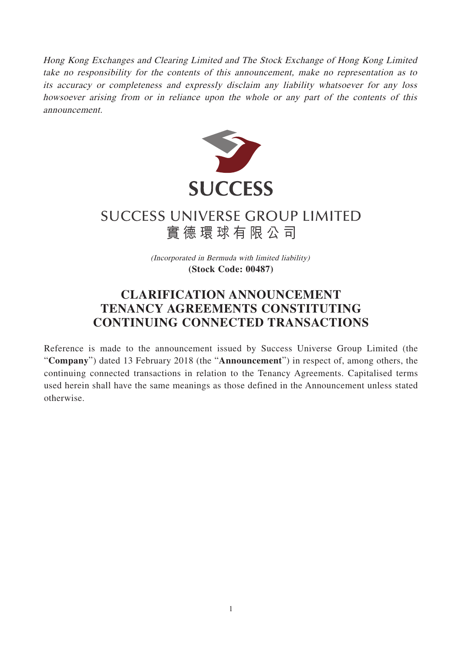Hong Kong Exchanges and Clearing Limited and The Stock Exchange of Hong Kong Limited take no responsibility for the contents of this announcement, make no representation as to its accuracy or completeness and expressly disclaim any liability whatsoever for any loss howsoever arising from or in reliance upon the whole or any part of the contents of this announcement.



## **SUCCESS UNIVERSE GROUP LIMITED** 實德環球有限公司

(Incorporated in Bermuda with limited liability) **(Stock Code: 00487)**

## **CLARIFICATION ANNOUNCEMENT TENANCY AGREEMENTS CONSTITUTING CONTINUING CONNECTED TRANSACTIONS**

Reference is made to the announcement issued by Success Universe Group Limited (the "**Company**") dated 13 February 2018 (the "**Announcement**") in respect of, among others, the continuing connected transactions in relation to the Tenancy Agreements. Capitalised terms used herein shall have the same meanings as those defined in the Announcement unless stated otherwise.